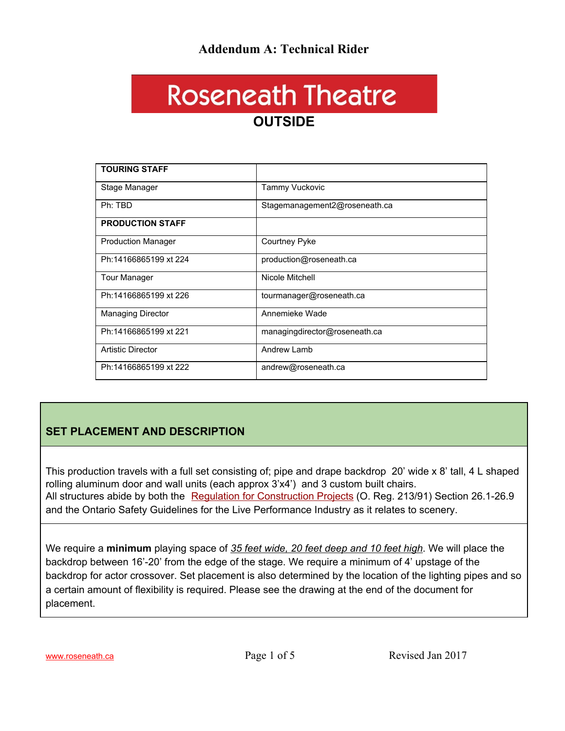#### **Addendum A: Technical Rider**

### **Roseneath Theatre OUTSIDE**

| <b>TOURING STAFF</b>      |                               |
|---------------------------|-------------------------------|
| Stage Manager             | <b>Tammy Vuckovic</b>         |
| Ph: TBD                   | Stagemanagement2@roseneath.ca |
| <b>PRODUCTION STAFF</b>   |                               |
| <b>Production Manager</b> | Courtney Pyke                 |
| Ph:14166865199 xt 224     | production@roseneath.ca       |
| Tour Manager              | Nicole Mitchell               |
| Ph:14166865199 xt 226     | tourmanager@roseneath.ca      |
| <b>Managing Director</b>  | Annemieke Wade                |
| Ph:14166865199 xt 221     | managingdirector@roseneath.ca |
| <b>Artistic Director</b>  | Andrew Lamb                   |
| Ph:14166865199 xt 222     | andrew@roseneath.ca           |

#### **SET PLACEMENT AND DESCRIPTION**

This production travels with a full set consisting of; pipe and drape backdrop 20' wide x 8' tall, 4 L shaped rolling aluminum door and wall units (each approx 3'x4') and 3 custom built chairs. All structures abide by both the Regulation for [Construction](http://www.e-laws.gov.on.ca/html/regs/english/elaws_regs_910213_e.htm) Projects (O. Reg. 213/91) Section 26.1-26.9 and the Ontario Safety Guidelines for the Live Performance Industry as it relates to scenery.

We require a **minimum** playing space of *35 feet wide, 20 feet deep and 10 feet high*. We will place the backdrop between 16'-20' from the edge of the stage. We require a minimum of 4' upstage of the backdrop for actor crossover. Set placement is also determined by the location of the lighting pipes and so a certain amount of flexibility is required. Please see the drawing at the end of the document for placement.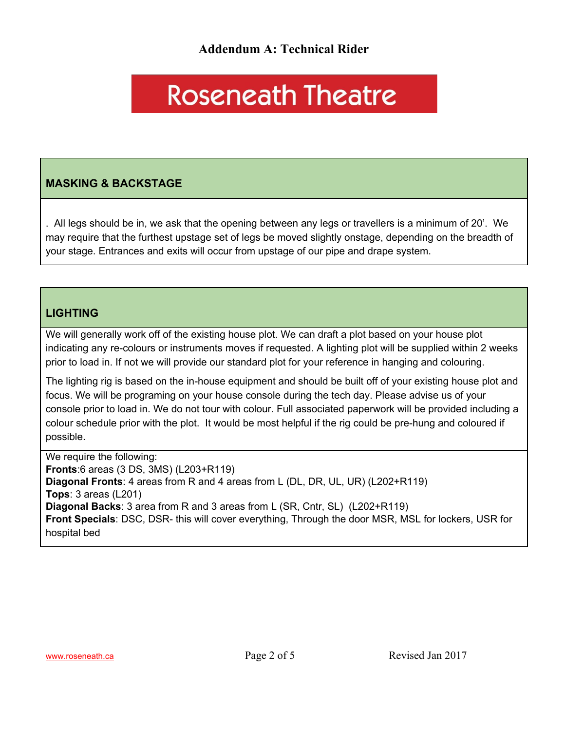## **Roseneath Theatre**

#### **MASKING & BACKSTAGE**

. All legs should be in, we ask that the opening between any legs or travellers is a minimum of 20'. We may require that the furthest upstage set of legs be moved slightly onstage, depending on the breadth of your stage. Entrances and exits will occur from upstage of our pipe and drape system.

#### **LIGHTING**

We will generally work off of the existing house plot. We can draft a plot based on your house plot indicating any re-colours or instruments moves if requested. A lighting plot will be supplied within 2 weeks prior to load in. If not we will provide our standard plot for your reference in hanging and colouring.

The lighting rig is based on the in-house equipment and should be built off of your existing house plot and focus. We will be programing on your house console during the tech day. Please advise us of your console prior to load in. We do not tour with colour. Full associated paperwork will be provided including a colour schedule prior with the plot. It would be most helpful if the rig could be pre-hung and coloured if possible.

We require the following: **Fronts**:6 areas (3 DS, 3MS) (L203+R119) **Diagonal Fronts**: 4 areas from R and 4 areas from L (DL, DR, UL, UR) (L202+R119) **Tops**: 3 areas (L201) **Diagonal Backs**: 3 area from R and 3 areas from L (SR, Cntr, SL) (L202+R119) **Front Specials**: DSC, DSR- this will cover everything, Through the door MSR, MSL for lockers, USR for hospital bed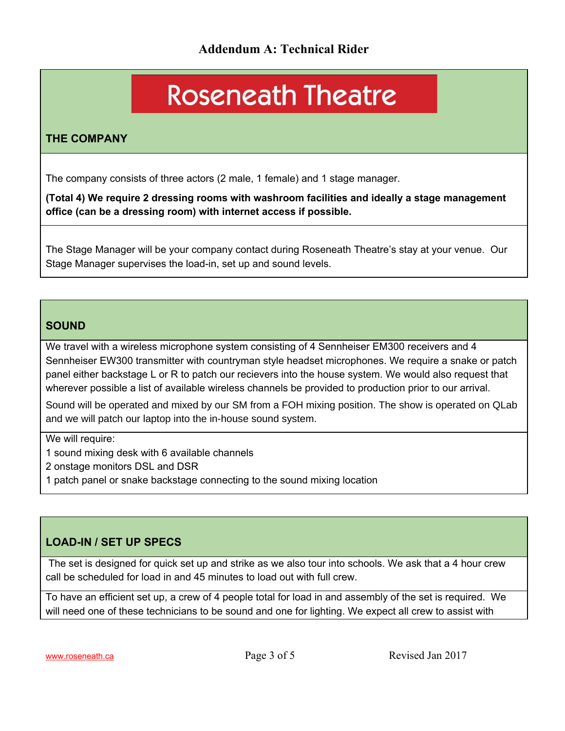# **Roseneath Theatre**

#### **THE COMPANY**

The company consists of three actors (2 male, 1 female) and 1 stage manager.

**(Total 4) We require 2 dressing rooms with washroom facilities and ideally a stage management office (can be a dressing room) with internet access if possible.**

The Stage Manager will be your company contact during Roseneath Theatre's stay at your venue. Our Stage Manager supervises the load-in, set up and sound levels.

#### **SOUND**

We travel with a wireless microphone system consisting of 4 Sennheiser EM300 receivers and 4 Sennheiser EW300 transmitter with countryman style headset microphones. We require a snake or patch panel either backstage L or R to patch our recievers into the house system. We would also request that wherever possible a list of available wireless channels be provided to production prior to our arrival.

Sound will be operated and mixed by our SM from a FOH mixing position. The show is operated on QLab and we will patch our laptop into the in-house sound system.

We will require:

1 sound mixing desk with 6 available channels

2 onstage monitors DSL and DSR

1 patch panel or snake backstage connecting to the sound mixing location

#### **LOAD-IN / SET UP SPECS**

The set is designed for quick set up and strike as we also tour into schools. We ask that a 4 hour crew call be scheduled for load in and 45 minutes to load out with full crew.

To have an efficient set up, a crew of 4 people total for load in and assembly of the set is required. We will need one of these technicians to be sound and one for lighting. We expect all crew to assist with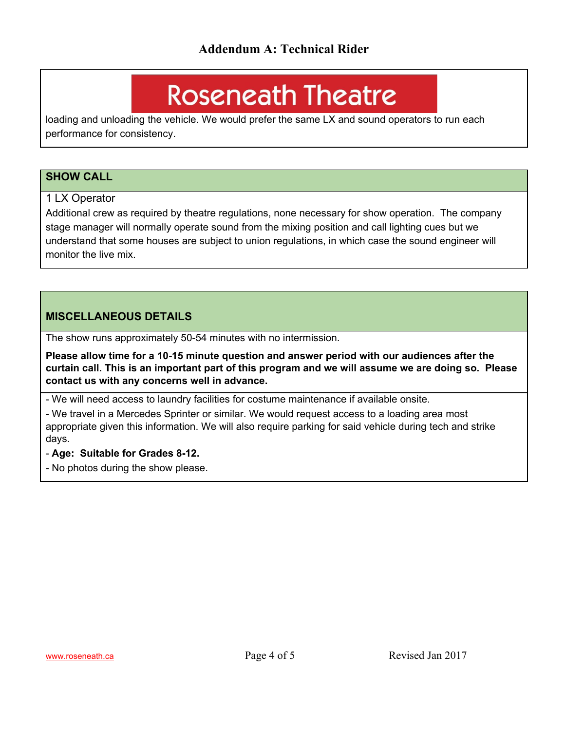### **Roseneath Theatre**

loading and unloading the vehicle. We would prefer the same LX and sound operators to run each performance for consistency.

#### **SHOW CALL**

#### 1 LX Operator

Additional crew as required by theatre regulations, none necessary for show operation. The company stage manager will normally operate sound from the mixing position and call lighting cues but we understand that some houses are subject to union regulations, in which case the sound engineer will monitor the live mix.

#### **MISCELLANEOUS DETAILS**

The show runs approximately 50-54 minutes with no intermission.

**Please allow time for a 10-15 minute question and answer period with our audiences after the** curtain call. This is an important part of this program and we will assume we are doing so. Please **contact us with any concerns well in advance.**

- We will need access to laundry facilities for costume maintenance if available onsite.

- We travel in a Mercedes Sprinter or similar. We would request access to a loading area most appropriate given this information. We will also require parking for said vehicle during tech and strike days.

- **Age: Suitable for Grades 8-12.**

- No photos during the show please.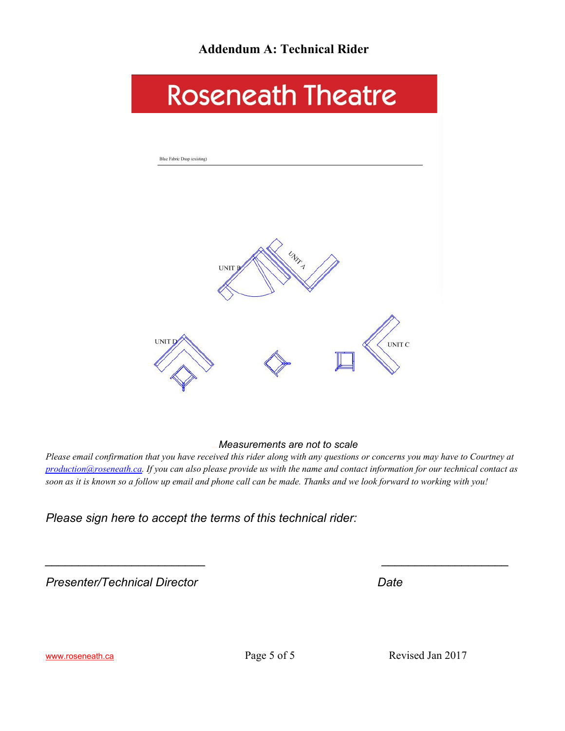

#### *Measurements are not to scale*

Please email confirmation that you have received this rider along with any questions or concerns you may have to Courtney at [production@roseneath.ca.](mailto:production@roseneath.ca) If you can also please provide us with the name and contact information for our technical contact as soon as it is known so a follow up email and phone call can be made. Thanks and we look forward to working with you!

*\_\_\_\_\_\_\_\_\_\_\_\_\_\_\_\_\_\_\_\_\_\_\_\_ \_\_\_\_\_\_\_\_\_\_\_\_\_\_\_\_\_\_\_*

*Please sign here to accept the terms of this technical rider:*

*Presenter/Technical Director Date*